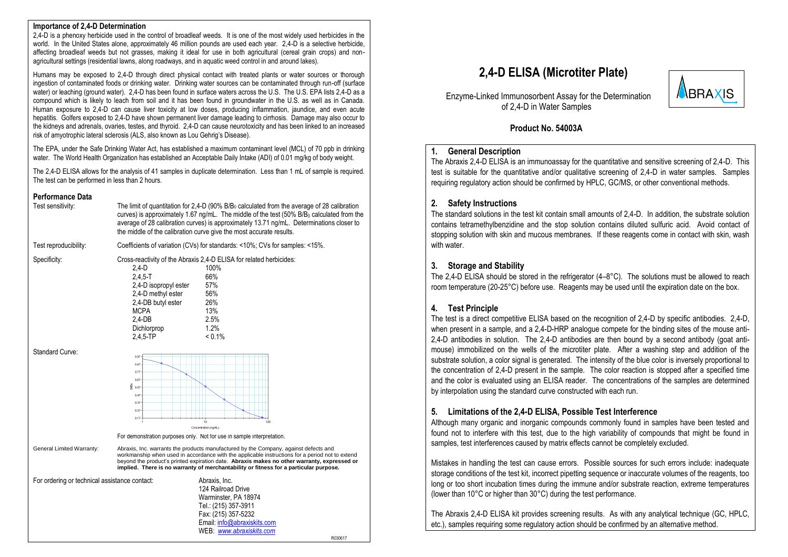#### **Importance of 2,4-D Determination**

2,4-D is a phenoxy herbicide used in the control of broadleaf weeds. It is one of the most widely used herbicides in the world. In the United States alone, approximately 46 million pounds are used each year. 2,4-D is a selective herbicide, affecting broadleaf weeds but not grasses, making it ideal for use in both agricultural (cereal grain crops) and nonagricultural settings (residential lawns, along roadways, and in aquatic weed control in and around lakes).

Humans may be exposed to 2,4-D through direct physical contact with treated plants or water sources or thorough ingestion of contaminated foods or drinking water. Drinking water sources can be contaminated through run-off (surface water) or leaching (ground water). 2,4-D has been found in surface waters across the U.S. The U.S. EPA lists 2,4-D as a compound which is likely to leach from soil and it has been found in groundwater in the U.S. as well as in Canada. Human exposure to 2,4-D can cause liver toxicity at low doses, producing inflammation, jaundice, and even acute hepatitis. Golfers exposed to 2,4-D have shown permanent liver damage leading to cirrhosis. Damage may also occur to the kidneys and adrenals, ovaries, testes, and thyroid. 2,4-D can cause neurotoxicity and has been linked to an increased risk of amyotrophic lateral sclerosis (ALS, also known as Lou Gehrig's Disease).

The EPA, under the Safe Drinking Water Act, has established a maximum contaminant level (MCL) of 70 ppb in drinking water. The World Health Organization has established an Acceptable Daily Intake (ADI) of 0.01 mg/kg of body weight.

The 2,4-D ELISA allows for the analysis of 41 samples in duplicate determination. Less than 1 mL of sample is required. The test can be performed in less than 2 hours.

#### **Performance Data**

| <b>Γ ΕΠΌΠΠΑΠԵΕ DAIA</b><br>Test sensitivity:  |                                                                                                                                                 | The limit of quantitation for 2.4-D (90% B/B <sub>0</sub> calculated from the average of 28 calibration<br>curves) is approximately 1.67 ng/mL. The middle of the test (50% B/B <sub>0</sub> calculated from the<br>average of 28 calibration curves) is approximately 13.71 ng/mL. Determinations closer to<br>the middle of the calibration curve give the most accurate results. |         |  |  |
|-----------------------------------------------|-------------------------------------------------------------------------------------------------------------------------------------------------|-------------------------------------------------------------------------------------------------------------------------------------------------------------------------------------------------------------------------------------------------------------------------------------------------------------------------------------------------------------------------------------|---------|--|--|
| Test reproducibility:                         | Coefficients of variation (CVs) for standards: <10%; CVs for samples: <15%.                                                                     |                                                                                                                                                                                                                                                                                                                                                                                     |         |  |  |
| Specificity:                                  | $2,4-D$<br>$2,4,5-T$<br>2,4-D isopropyl ester<br>2,4-D methyl ester<br>2,4-DB butyl ester<br><b>MCPA</b><br>$2,4-DB$<br>Dichlorprop<br>2.4.5-TP | Cross-reactivity of the Abraxis 2,4-D ELISA for related herbicides:<br>100%<br>66%<br>57%<br>56%<br>26%<br>13%<br>2.5%<br>1.2%<br>$< 0.1\%$                                                                                                                                                                                                                                         |         |  |  |
| Standard Curve:                               | 0.97<br>0.87<br>0.77<br>0.67<br>ğ<br>0.57<br>0.47<br>0.37<br>0.27<br>0.17                                                                       | 10<br>100<br>Concentration (ng/mL)                                                                                                                                                                                                                                                                                                                                                  |         |  |  |
|                                               |                                                                                                                                                 | For demonstration purposes only. Not for use in sample interpretation.                                                                                                                                                                                                                                                                                                              |         |  |  |
| General Limited Warranty:                     |                                                                                                                                                 | Abraxis, Inc. warrants the products manufactured by the Company, against defects and<br>workmanship when used in accordance with the applicable instructions for a period not to extend<br>beyond the product's printed expiration date. Abraxis makes no other warranty, expressed or<br>implied. There is no warranty of merchantability or fitness for a particular purpose.     |         |  |  |
| For ordering or technical assistance contact: |                                                                                                                                                 | Abraxis, Inc.<br>124 Railroad Drive<br>Warminster, PA 18974<br>Tel.: (215) 357-3911<br>Fax: (215) 357-5232<br>Email: info@abraxiskits.com<br>WEB www.abraxiskits.com                                                                                                                                                                                                                | R030617 |  |  |

# **2,4-D ELISA (Microtiter Plate)**



 Enzyme-Linked Immunosorbent Assay for the Determination of 2,4-D in Water Samples

### **Product No. 54003A**

#### **1. General Description**

The Abraxis 2,4-D ELISA is an immunoassay for the quantitative and sensitive screening of 2,4-D. This test is suitable for the quantitative and/or qualitative screening of 2,4-D in water samples. Samples requiring regulatory action should be confirmed by HPLC, GC/MS, or other conventional methods.

#### **2. Safety Instructions**

The standard solutions in the test kit contain small amounts of 2,4-D. In addition, the substrate solution contains tetramethylbenzidine and the stop solution contains diluted sulfuric acid. Avoid contact of stopping solution with skin and mucous membranes. If these reagents come in contact with skin, wash with water.

### **3. Storage and Stability**

The 2.4-D ELISA should be stored in the refrigerator  $(4-8^{\circ}C)$ . The solutions must be allowed to reach room temperature (20-25°C) before use. Reagents may be used until the expiration date on the box.

### **4. Test Principle**

The test is a direct competitive ELISA based on the recognition of 2,4-D by specific antibodies. 2,4-D, when present in a sample, and a 2,4-D-HRP analogue compete for the binding sites of the mouse anti-2,4-D antibodies in solution. The 2,4-D antibodies are then bound by a second antibody (goat antimouse) immobilized on the wells of the microtiter plate. After a washing step and addition of the substrate solution, a color signal is generated. The intensity of the blue color is inversely proportional to the concentration of 2,4-D present in the sample. The color reaction is stopped after a specified time and the color is evaluated using an ELISA reader. The concentrations of the samples are determined by interpolation using the standard curve constructed with each run.

### **5. Limitations of the 2,4-D ELISA, Possible Test Interference**

Although many organic and inorganic compounds commonly found in samples have been tested and found not to interfere with this test, due to the high variability of compounds that might be found in samples, test interferences caused by matrix effects cannot be completely excluded.

Mistakes in handling the test can cause errors. Possible sources for such errors include: inadequate storage conditions of the test kit, incorrect pipetting sequence or inaccurate volumes of the reagents, too long or too short incubation times during the immune and/or substrate reaction, extreme temperatures (lower than 10°C or higher than 30°C) during the test performance.

The Abraxis 2,4-D ELISA kit provides screening results. As with any analytical technique (GC, HPLC, etc.), samples requiring some regulatory action should be confirmed by an alternative method.